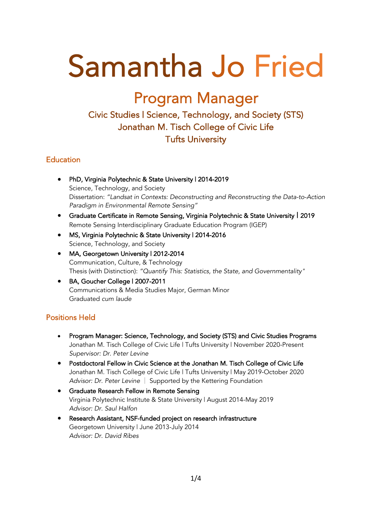# Samantha Jo Fried

# Civic Studies | Science, Technology, and Society (STS) Jonathan M. Tisch College of Civic Life Tufts University

### **Education**

- PhD, Virginia Polytechnic & State University | 2014-2019 Science, Technology, and Society Dissertation: *"Landsat in Contexts: Deconstructing and Reconstructing the Data-to-Action Paradigm in Environmental Remote Sensing"*
- Graduate Certificate in Remote Sensing, Virginia Polytechnic & State University | 2019 Remote Sensing Interdisciplinary Graduate Education Program (IGEP)
- MS, Virginia Polytechnic & State University | 2014-2016 Science, Technology, and Society
- MA, Georgetown University | 2012-2014 Communication, Culture, & Technology Thesis (with Distinction): *"Quantify This: Statistics, the State, and Governmentality"*
- BA, Goucher College | 2007-2011 Communications & Media Studies Major, German Minor Graduated *cum laude*

### Positions Held

- Program Manager: Science, Technology, and Society (STS) and Civic Studies Programs Jonathan M. Tisch College of Civic Life | Tufts University | November 2020-Present *Supervisor: Dr. Peter Levine*
- Postdoctoral Fellow in Civic Science at the Jonathan M. Tisch College of Civic Life Jonathan M. Tisch College of Civic Life | Tufts University | May 2019-October 2020 *Advisor: Dr. Peter Levine* | Supported by the Kettering Foundation
- Graduate Research Fellow in Remote Sensing Virginia Polytechnic Institute & State University | August 2014-May 2019 *Advisor: Dr. Saul Halfon*
- Research Assistant, NSF-funded project on research infrastructure Georgetown University | June 2013-July 2014 *Advisor: Dr. David Ribes*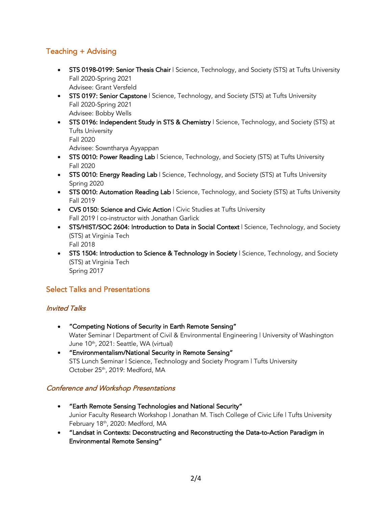### Teaching + Advising

- STS 0198-0199: Senior Thesis Chair | Science, Technology, and Society (STS) at Tufts University Fall 2020-Spring 2021 Advisee: Grant Versfeld
- STS 0197: Senior Capstone | Science, Technology, and Society (STS) at Tufts University Fall 2020-Spring 2021 Advisee: Bobby Wells
- STS 0196: Independent Study in STS & Chemistry | Science, Technology, and Society (STS) at Tufts University Fall 2020 Advisee: Sowntharya Ayyappan
- STS 0010: Power Reading Lab | Science, Technology, and Society (STS) at Tufts University Fall 2020
- STS 0010: Energy Reading Lab | Science, Technology, and Society (STS) at Tufts University Spring 2020
- STS 0010: Automation Reading Lab | Science, Technology, and Society (STS) at Tufts University Fall 2019
- CVS 0150: Science and Civic Action | Civic Studies at Tufts University Fall 2019 | co-instructor with Jonathan Garlick
- STS/HIST/SOC 2604: Introduction to Data in Social Context | Science, Technology, and Society (STS) at Virginia Tech Fall 2018
- STS 1504: Introduction to Science & Technology in Society | Science, Technology, and Society (STS) at Virginia Tech Spring 2017

### Select Talks and Presentations

### Invited Talks

- "Competing Notions of Security in Earth Remote Sensing" Water Seminar | Department of Civil & Environmental Engineering | University of Washington June 10th , 2021: Seattle, WA (virtual)
- "Environmentalism/National Security in Remote Sensing" STS Lunch Seminar | Science, Technology and Society Program | Tufts University October 25<sup>th</sup>, 2019: Medford, MA

### Conference and Workshop Presentations

- "Earth Remote Sensing Technologies and National Security" Junior Faculty Research Workshop | Jonathan M. Tisch College of Civic Life | Tufts University February 18th, 2020: Medford, MA
- "Landsat in Contexts: Deconstructing and Reconstructing the Data-to-Action Paradigm in Environmental Remote Sensing"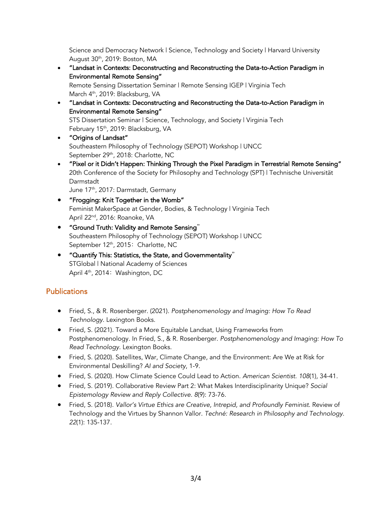Science and Democracy Network | Science, Technology and Society | Harvard University August 30th, 2019: Boston, MA

- "Landsat in Contexts: Deconstructing and Reconstructing the Data-to-Action Paradigm in Environmental Remote Sensing" Remote Sensing Dissertation Seminar | Remote Sensing IGEP | Virginia Tech March 4<sup>th</sup>, 2019: Blacksburg, VA
- "Landsat in Contexts: Deconstructing and Reconstructing the Data-to-Action Paradigm in Environmental Remote Sensing" STS Dissertation Seminar | Science, Technology, and Society | Virginia Tech February 15<sup>th</sup>, 2019: Blacksburg, VA
- "Origins of Landsat" Southeastern Philosophy of Technology (SEPOT) Workshop | UNCC September 29th, 2018: Charlotte, NC
- "Pixel or it Didn't Happen: Thinking Through the Pixel Paradigm in Terrestrial Remote Sensing" 20th Conference of the Society for Philosophy and Technology (SPT) | Technische Universität Darmstadt

June 17<sup>th</sup>, 2017: Darmstadt, Germany

- "Frogging: Knit Together in the Womb" Feminist MakerSpace at Gender, Bodies, & Technology | Virginia Tech April 22<sup>nd</sup>, 2016: Roanoke, VA
- "Ground Truth: Validity and Remote Sensing" Southeastern Philosophy of Technology (SEPOT) Workshop | UNCC September 12<sup>th</sup>, 2015: Charlotte, NC
- "Quantify This: Statistics, the State, and Governmentality" STGlobal | National Academy of Sciences April 4<sup>th</sup>, 2014: Washington, DC

## **Publications**

- Fried, S., & R. Rosenberger. (2021). *Postphenomenology and Imaging: How To Read Technology*. Lexington Books.
- Fried, S. (2021). Toward a More Equitable Landsat, Using Frameworks from Postphenomenology. In Fried, S., & R. Rosenberger. *Postphenomenology and Imaging: How To Read Technology*. Lexington Books.
- Fried, S. (2020). Satellites, War, Climate Change, and the Environment: Are We at Risk for Environmental Deskilling? *AI and Society*, 1-9.
- Fried, S. (2020). How Climate Science Could Lead to Action. *American Scientist. 108*(1)*,* 34-41*.*
- Fried, S. (2019). Collaborative Review Part 2: What Makes Interdisciplinarity Unique? *Social Epistemology Review and Reply Collective. 8*(9): 73-76.
- Fried, S. (2018). *Vallor's Virtue Ethics are Creative, Intrepid, and Profoundly Feminist*. Review of Technology and the Virtues by Shannon Vallor. *Techné: Research in Philosophy and Technology. 22*(1): 135-137.